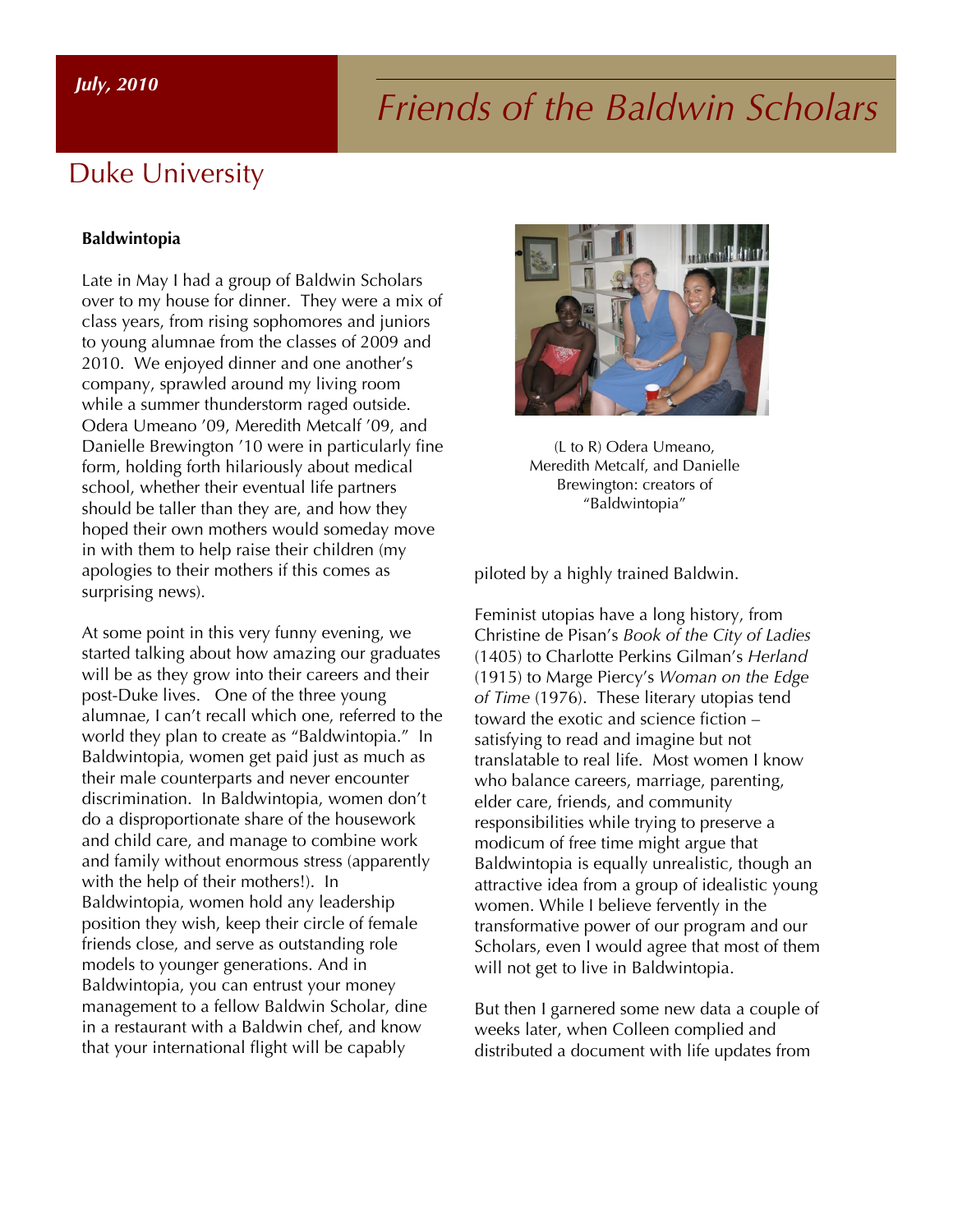# *Friends of the Baldwin Scholars July, 2010*

### Duke University

### **Baldwintopia**

Late in May I had a group of Baldwin Scholars over to my house for dinner. They were a mix of class years, from rising sophomores and juniors to young alumnae from the classes of 2009 and 2010. We enjoyed dinner and one another's company, sprawled around my living room while a summer thunderstorm raged outside. Odera Umeano '09, Meredith Metcalf '09, and Danielle Brewington '10 were in particularly fine form, holding forth hilariously about medical school, whether their eventual life partners should be taller than they are, and how they hoped their own mothers would someday move in with them to help raise their children (my apologies to their mothers if this comes as surprising news).

At some point in this very funny evening, we started talking about how amazing our graduates will be as they grow into their careers and their post-Duke lives. One of the three young alumnae, I can't recall which one, referred to the world they plan to create as "Baldwintopia." In Baldwintopia, women get paid just as much as their male counterparts and never encounter discrimination. In Baldwintopia, women don't do a disproportionate share of the housework and child care, and manage to combine work and family without enormous stress (apparently with the help of their mothers!). In Baldwintopia, women hold any leadership position they wish, keep their circle of female friends close, and serve as outstanding role models to younger generations. And in Baldwintopia, you can entrust your money management to a fellow Baldwin Scholar, dine in a restaurant with a Baldwin chef, and know that your international flight will be capably



(L to R) Odera Umeano, Meredith Metcalf, and Danielle Brewington: creators of "Baldwintopia"

piloted by a highly trained Baldwin.

Feminist utopias have a long history, from Christine de Pisan's *Book of the City of Ladies* (1405) to Charlotte Perkins Gilman's *Herland* (1915) to Marge Piercy's *Woman on the Edge of Time* (1976). These literary utopias tend toward the exotic and science fiction – satisfying to read and imagine but not translatable to real life. Most women I know who balance careers, marriage, parenting, elder care, friends, and community responsibilities while trying to preserve a modicum of free time might argue that Baldwintopia is equally unrealistic, though an attractive idea from a group of idealistic young women. While I believe fervently in the transformative power of our program and our Scholars, even I would agree that most of them will not get to live in Baldwintopia.

But then I garnered some new data a couple of weeks later, when Colleen complied and distributed a document with life updates from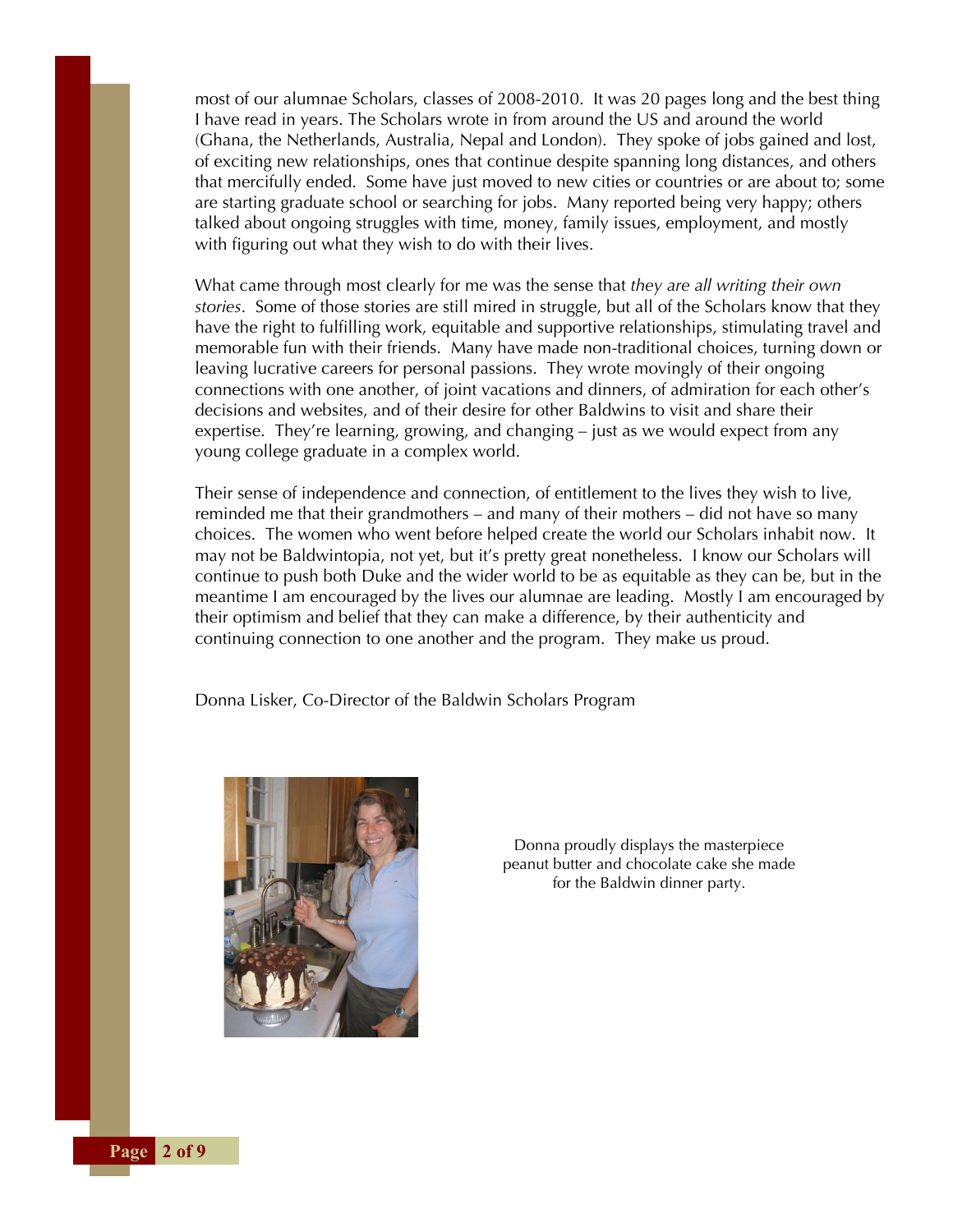most of our alumnae Scholars, classes of 2008-2010. It was 20 pages long and the best thing I have read in years. The Scholars wrote in from around the US and around the world (Ghana, the Netherlands, Australia, Nepal and London). They spoke of jobs gained and lost, of exciting new relationships, ones that continue despite spanning long distances, and others that mercifully ended. Some have just moved to new cities or countries or are about to; some are starting graduate school or searching for jobs. Many reported being very happy; others talked about ongoing struggles with time, money, family issues, employment, and mostly with figuring out what they wish to do with their lives.

What came through most clearly for me was the sense that *they are all writing their own stories*. Some of those stories are still mired in struggle, but all of the Scholars know that they have the right to fulfilling work, equitable and supportive relationships, stimulating travel and memorable fun with their friends. Many have made non-traditional choices, turning down or leaving lucrative careers for personal passions. They wrote movingly of their ongoing connections with one another, of joint vacations and dinners, of admiration for each other's decisions and websites, and of their desire for other Baldwins to visit and share their expertise. They're learning, growing, and changing – just as we would expect from any young college graduate in a complex world.

Their sense of independence and connection, of entitlement to the lives they wish to live, reminded me that their grandmothers – and many of their mothers – did not have so many choices. The women who went before helped create the world our Scholars inhabit now. It may not be Baldwintopia, not yet, but it's pretty great nonetheless. I know our Scholars will continue to push both Duke and the wider world to be as equitable as they can be, but in the meantime I am encouraged by the lives our alumnae are leading. Mostly I am encouraged by their optimism and belief that they can make a difference, by their authenticity and continuing connection to one another and the program. They make us proud.

Donna Lisker, Co-Director of the Baldwin Scholars Program



Donna proudly displays the masterpiece peanut butter and chocolate cake she made for the Baldwin dinner party.

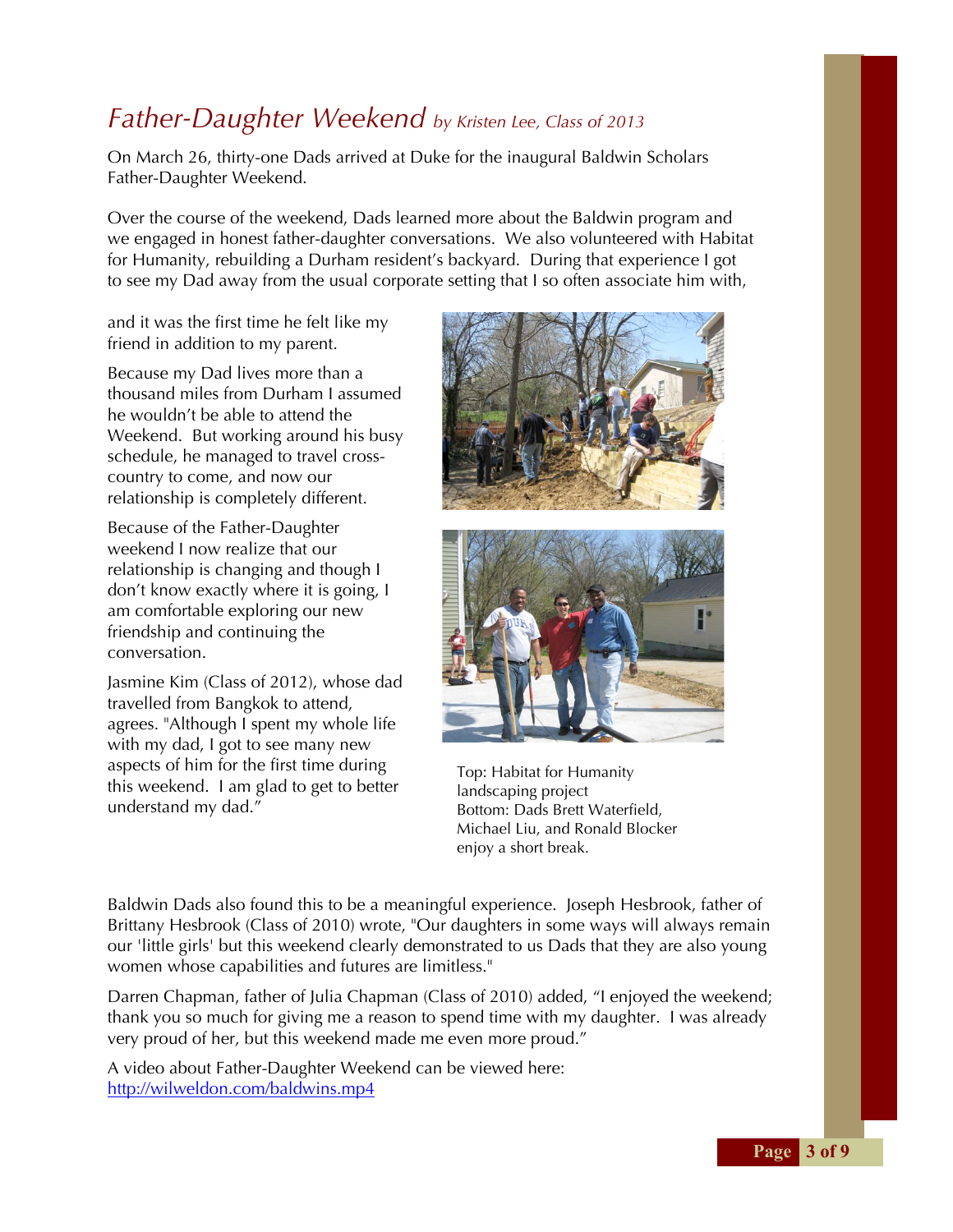### *Father-Daughter Weekend by Kristen Lee, Class of 2013*

On March 26, thirty-one Dads arrived at Duke for the inaugural Baldwin Scholars Father-Daughter Weekend.

Over the course of the weekend, Dads learned more about the Baldwin program and we engaged in honest father-daughter conversations. We also volunteered with Habitat for Humanity, rebuilding a Durham resident's backyard. During that experience I got to see my Dad away from the usual corporate setting that I so often associate him with,

and it was the first time he felt like my friend in addition to my parent.

Because my Dad lives more than a thousand miles from Durham I assumed he wouldn't be able to attend the Weekend. But working around his busy schedule, he managed to travel crosscountry to come, and now our relationship is completely different.

Because of the Father-Daughter weekend I now realize that our relationship is changing and though I don't know exactly where it is going, I am comfortable exploring our new friendship and continuing the conversation.

Jasmine Kim (Class of 2012), whose dad travelled from Bangkok to attend, agrees. "Although I spent my whole life with my dad, I got to see many new aspects of him for the first time during this weekend. I am glad to get to better understand my dad."





Top: Habitat for Humanity landscaping project Bottom: Dads Brett Waterfield, Michael Liu, and Ronald Blocker enjoy a short break.

Baldwin Dads also found this to be a meaningful experience. Joseph Hesbrook, father of Brittany Hesbrook (Class of 2010) wrote, "Our daughters in some ways will always remain our 'little girls' but this weekend clearly demonstrated to us Dads that they are also young women whose capabilities and futures are limitless."

Darren Chapman, father of Julia Chapman (Class of 2010) added, "I enjoyed the weekend; thank you so much for giving me a reason to spend time with my daughter. I was already very proud of her, but this weekend made me even more proud."

A video about Father-Daughter Weekend can be viewed here: http://wilweldon.com/baldwins.mp4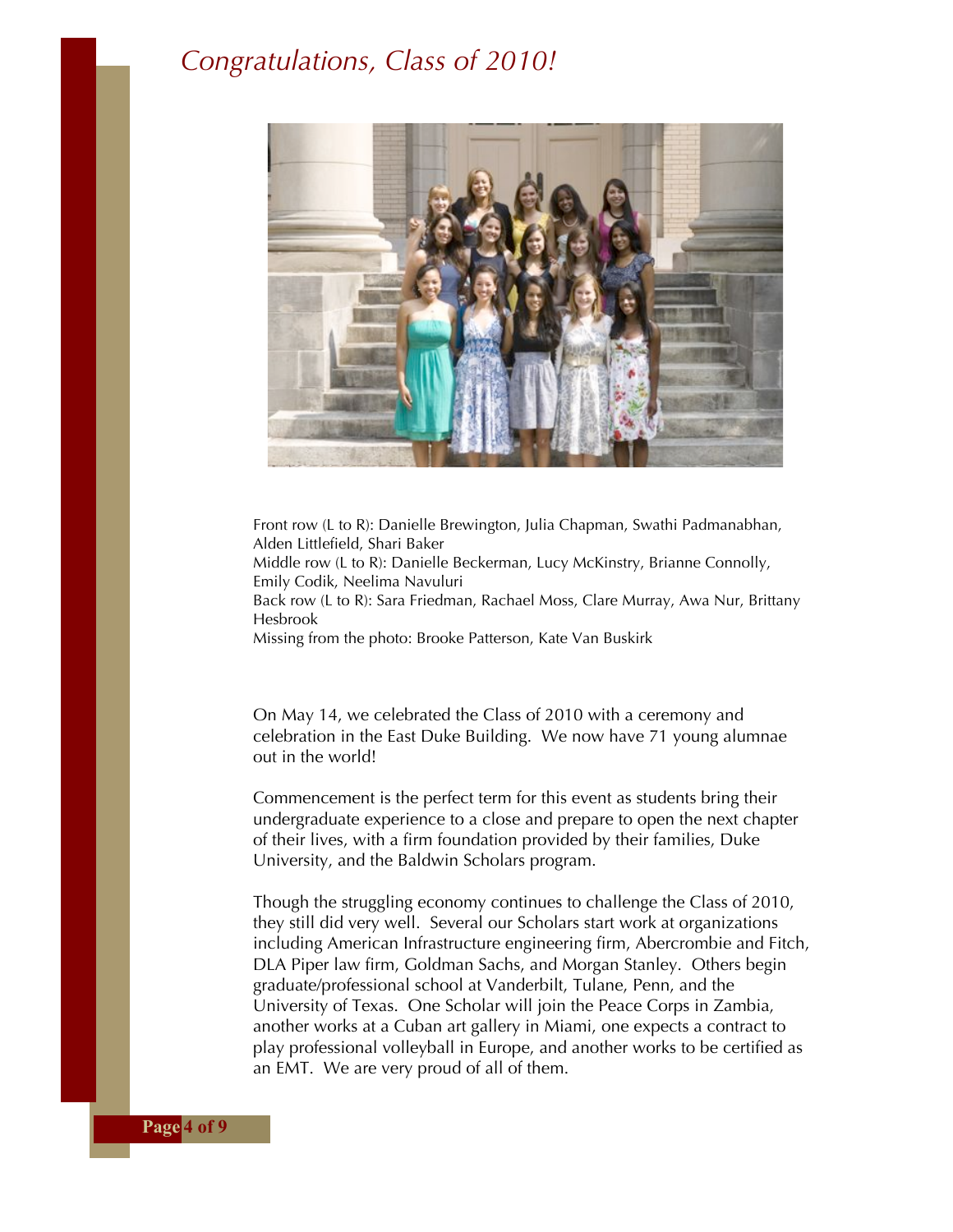### *Congratulations, Class of 2010!*



Front row (L to R): Danielle Brewington, Julia Chapman, Swathi Padmanabhan, Alden Littlefield, Shari Baker

Middle row (L to R): Danielle Beckerman, Lucy McKinstry, Brianne Connolly, Emily Codik, Neelima Navuluri

Back row (L to R): Sara Friedman, Rachael Moss, Clare Murray, Awa Nur, Brittany Hesbrook

Missing from the photo: Brooke Patterson, Kate Van Buskirk

On May 14, we celebrated the Class of 2010 with a ceremony and celebration in the East Duke Building. We now have 71 young alumnae out in the world!

Commencement is the perfect term for this event as students bring their undergraduate experience to a close and prepare to open the next chapter of their lives, with a firm foundation provided by their families, Duke University, and the Baldwin Scholars program.

Though the struggling economy continues to challenge the Class of 2010, they still did very well. Several our Scholars start work at organizations including American Infrastructure engineering firm, Abercrombie and Fitch, DLA Piper law firm, Goldman Sachs, and Morgan Stanley. Others begin graduate/professional school at Vanderbilt, Tulane, Penn, and the University of Texas. One Scholar will join the Peace Corps in Zambia, another works at a Cuban art gallery in Miami, one expects a contract to play professional volleyball in Europe, and another works to be certified as an EMT. We are very proud of all of them.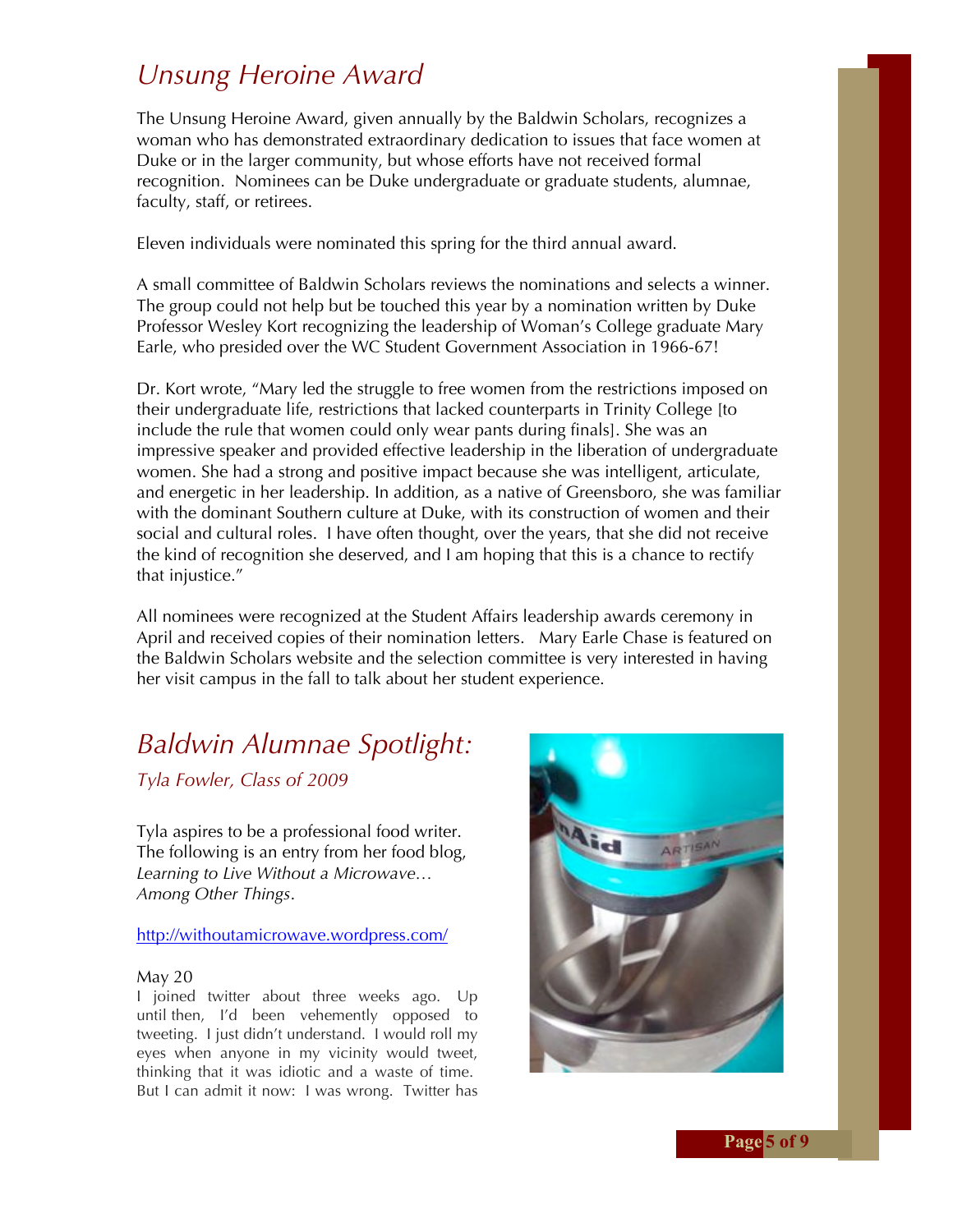### *Unsung Heroine Award*

The Unsung Heroine Award, given annually by the Baldwin Scholars, recognizes a woman who has demonstrated extraordinary dedication to issues that face women at Duke or in the larger community, but whose efforts have not received formal recognition. Nominees can be Duke undergraduate or graduate students, alumnae, faculty, staff, or retirees.

Eleven individuals were nominated this spring for the third annual award.

A small committee of Baldwin Scholars reviews the nominations and selects a winner. The group could not help but be touched this year by a nomination written by Duke Professor Wesley Kort recognizing the leadership of Woman's College graduate Mary Earle, who presided over the WC Student Government Association in 1966-67!

Dr. Kort wrote, "Mary led the struggle to free women from the restrictions imposed on their undergraduate life, restrictions that lacked counterparts in Trinity College [to include the rule that women could only wear pants during finals]. She was an impressive speaker and provided effective leadership in the liberation of undergraduate women. She had a strong and positive impact because she was intelligent, articulate, and energetic in her leadership. In addition, as a native of Greensboro, she was familiar with the dominant Southern culture at Duke, with its construction of women and their social and cultural roles. I have often thought, over the years, that she did not receive the kind of recognition she deserved, and I am hoping that this is a chance to rectify that injustice."

All nominees were recognized at the Student Affairs leadership awards ceremony in April and received copies of their nomination letters. Mary Earle Chase is featured on the Baldwin Scholars website and the selection committee is very interested in having her visit campus in the fall to talk about her student experience.

## *Baldwin Alumnae Spotlight:*

*Tyla Fowler, Class of 2009*

Tyla aspires to be a professional food writer. The following is an entry from her food blog, *Learning to Live Without a Microwave… Among Other Things*.

### http://withoutamicrowave.wordpress.com/

#### May 20

I joined twitter about three weeks ago. Up until then, I'd been vehemently opposed to tweeting. I just didn't understand. I would roll my eyes when anyone in my vicinity would tweet, thinking that it was idiotic and a waste of time. But I can admit it now: I was wrong. Twitter has



**Page 5 of 9**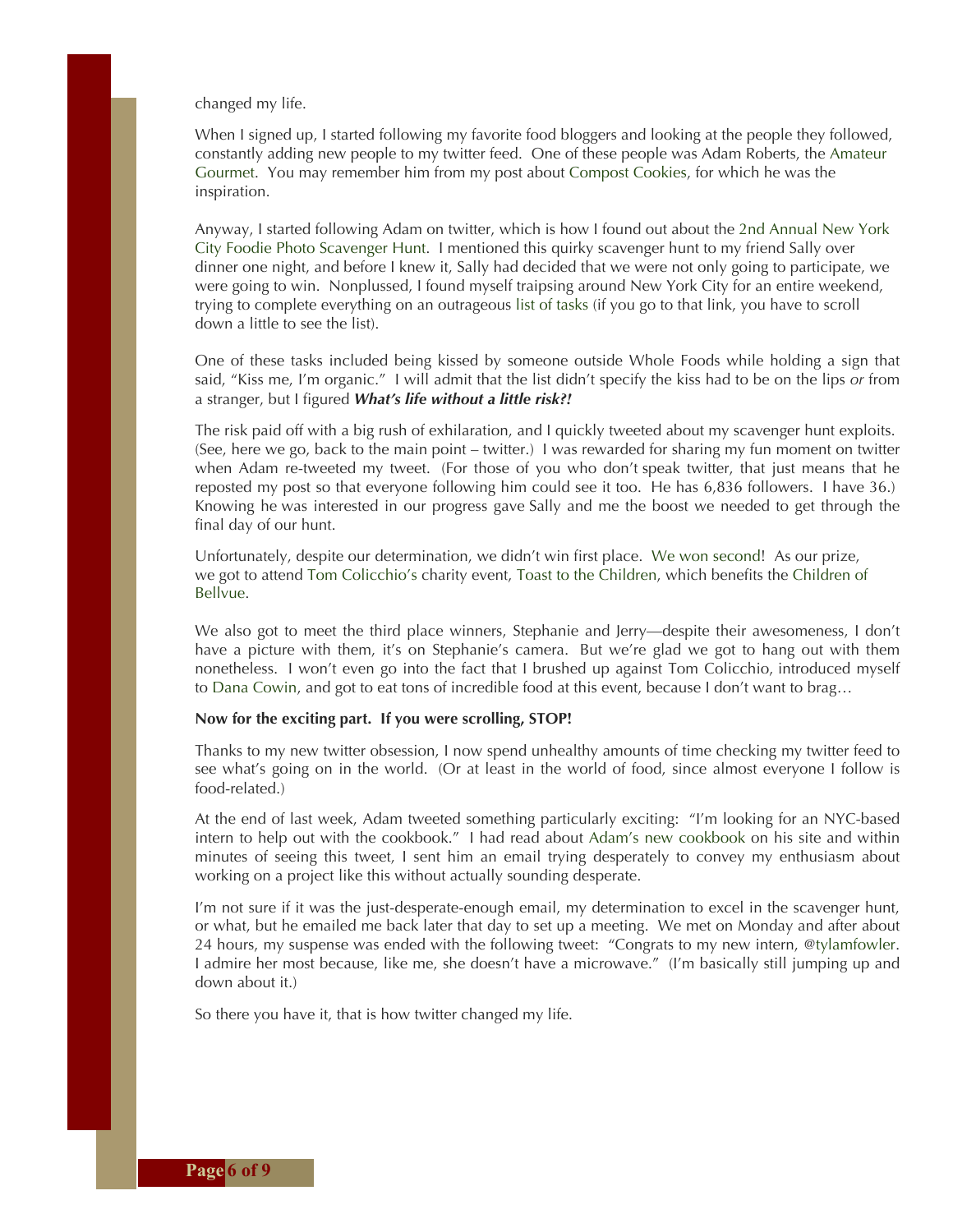changed my life.

When I signed up, I started following my favorite food bloggers and looking at the people they followed, constantly adding new people to my twitter feed. One of these people was Adam Roberts, the Amateur Gourmet. You may remember him from my post about Compost Cookies, for which he was the inspiration.

Anyway, I started following Adam on twitter, which is how I found out about the 2nd Annual New York City Foodie Photo Scavenger Hunt. I mentioned this quirky scavenger hunt to my friend Sally over dinner one night, and before I knew it, Sally had decided that we were not only going to participate, we were going to win. Nonplussed, I found myself traipsing around New York City for an entire weekend, trying to complete everything on an outrageous list of tasks (if you go to that link, you have to scroll down a little to see the list).

One of these tasks included being kissed by someone outside Whole Foods while holding a sign that said, "Kiss me, I'm organic." I will admit that the list didn't specify the kiss had to be on the lips *or* from a stranger, but I figured *What's life without a little risk?!*

The risk paid off with a big rush of exhilaration, and I quickly tweeted about my scavenger hunt exploits. (See, here we go, back to the main point – twitter.) I was rewarded for sharing my fun moment on twitter when Adam re-tweeted my tweet. (For those of you who don't speak twitter, that just means that he reposted my post so that everyone following him could see it too. He has 6,836 followers. I have 36.) Knowing he was interested in our progress gave Sally and me the boost we needed to get through the final day of our hunt.

Unfortunately, despite our determination, we didn't win first place. We won second! As our prize, we got to attend Tom Colicchio's charity event, Toast to the Children, which benefits the Children of Bellvue.

We also got to meet the third place winners, Stephanie and Jerry—despite their awesomeness, I don't have a picture with them, it's on Stephanie's camera. But we're glad we got to hang out with them nonetheless. I won't even go into the fact that I brushed up against Tom Colicchio, introduced myself to Dana Cowin, and got to eat tons of incredible food at this event, because I don't want to brag…

#### **Now for the exciting part. If you were scrolling, STOP!**

Thanks to my new twitter obsession, I now spend unhealthy amounts of time checking my twitter feed to see what's going on in the world. (Or at least in the world of food, since almost everyone I follow is food-related.)

At the end of last week, Adam tweeted something particularly exciting: "I'm looking for an NYC-based intern to help out with the cookbook." I had read about Adam's new cookbook on his site and within minutes of seeing this tweet, I sent him an email trying desperately to convey my enthusiasm about working on a project like this without actually sounding desperate.

I'm not sure if it was the just-desperate-enough email, my determination to excel in the scavenger hunt, or what, but he emailed me back later that day to set up a meeting. We met on Monday and after about 24 hours, my suspense was ended with the following tweet: "Congrats to my new intern, @tylamfowler. I admire her most because, like me, she doesn't have a microwave." (I'm basically still jumping up and down about it.)

So there you have it, that is how twitter changed my life.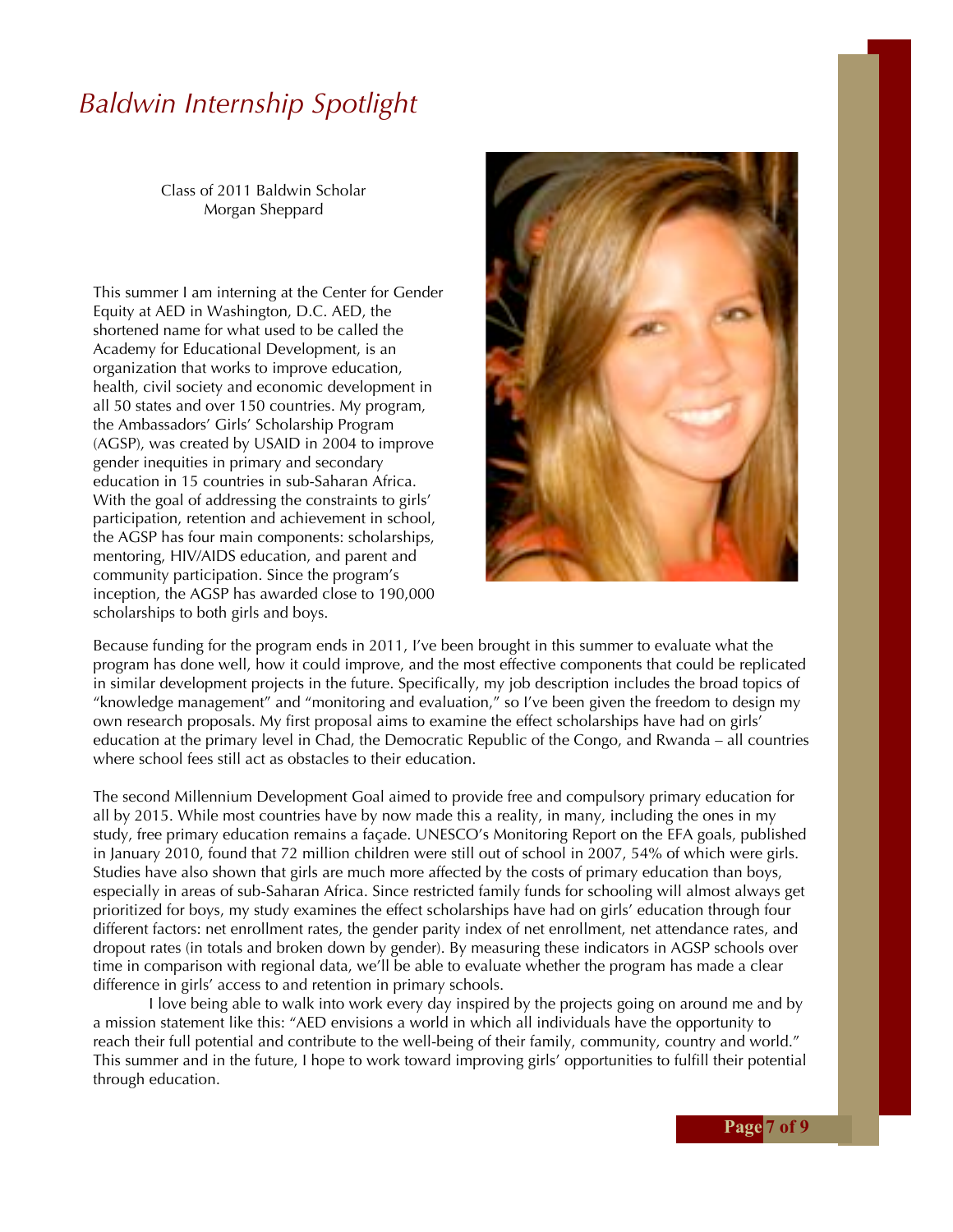### *Baldwin Internship Spotlight*

Class of 2011 Baldwin Scholar Morgan Sheppard

This summer I am interning at the Center for Gender Equity at AED in Washington, D.C. AED, the shortened name for what used to be called the Academy for Educational Development, is an organization that works to improve education, health, civil society and economic development in all 50 states and over 150 countries. My program, the Ambassadors' Girls' Scholarship Program (AGSP), was created by USAID in 2004 to improve gender inequities in primary and secondary education in 15 countries in sub-Saharan Africa. With the goal of addressing the constraints to girls' participation, retention and achievement in school, the AGSP has four main components: scholarships, mentoring, HIV/AIDS education, and parent and community participation. Since the program's inception, the AGSP has awarded close to 190,000 scholarships to both girls and boys.



Because funding for the program ends in 2011, I've been brought in this summer to evaluate what the program has done well, how it could improve, and the most effective components that could be replicated in similar development projects in the future. Specifically, my job description includes the broad topics of "knowledge management" and "monitoring and evaluation," so I've been given the freedom to design my own research proposals. My first proposal aims to examine the effect scholarships have had on girls' education at the primary level in Chad, the Democratic Republic of the Congo, and Rwanda – all countries where school fees still act as obstacles to their education.

The second Millennium Development Goal aimed to provide free and compulsory primary education for all by 2015. While most countries have by now made this a reality, in many, including the ones in my study, free primary education remains a façade. UNESCO's Monitoring Report on the EFA goals, published in January 2010, found that 72 million children were still out of school in 2007, 54% of which were girls. Studies have also shown that girls are much more affected by the costs of primary education than boys, especially in areas of sub-Saharan Africa. Since restricted family funds for schooling will almost always get prioritized for boys, my study examines the effect scholarships have had on girls' education through four different factors: net enrollment rates, the gender parity index of net enrollment, net attendance rates, and dropout rates (in totals and broken down by gender). By measuring these indicators in AGSP schools over time in comparison with regional data, we'll be able to evaluate whether the program has made a clear difference in girls' access to and retention in primary schools.

I love being able to walk into work every day inspired by the projects going on around me and by a mission statement like this: "AED envisions a world in which all individuals have the opportunity to reach their full potential and contribute to the well-being of their family, community, country and world." This summer and in the future, I hope to work toward improving girls' opportunities to fulfill their potential through education.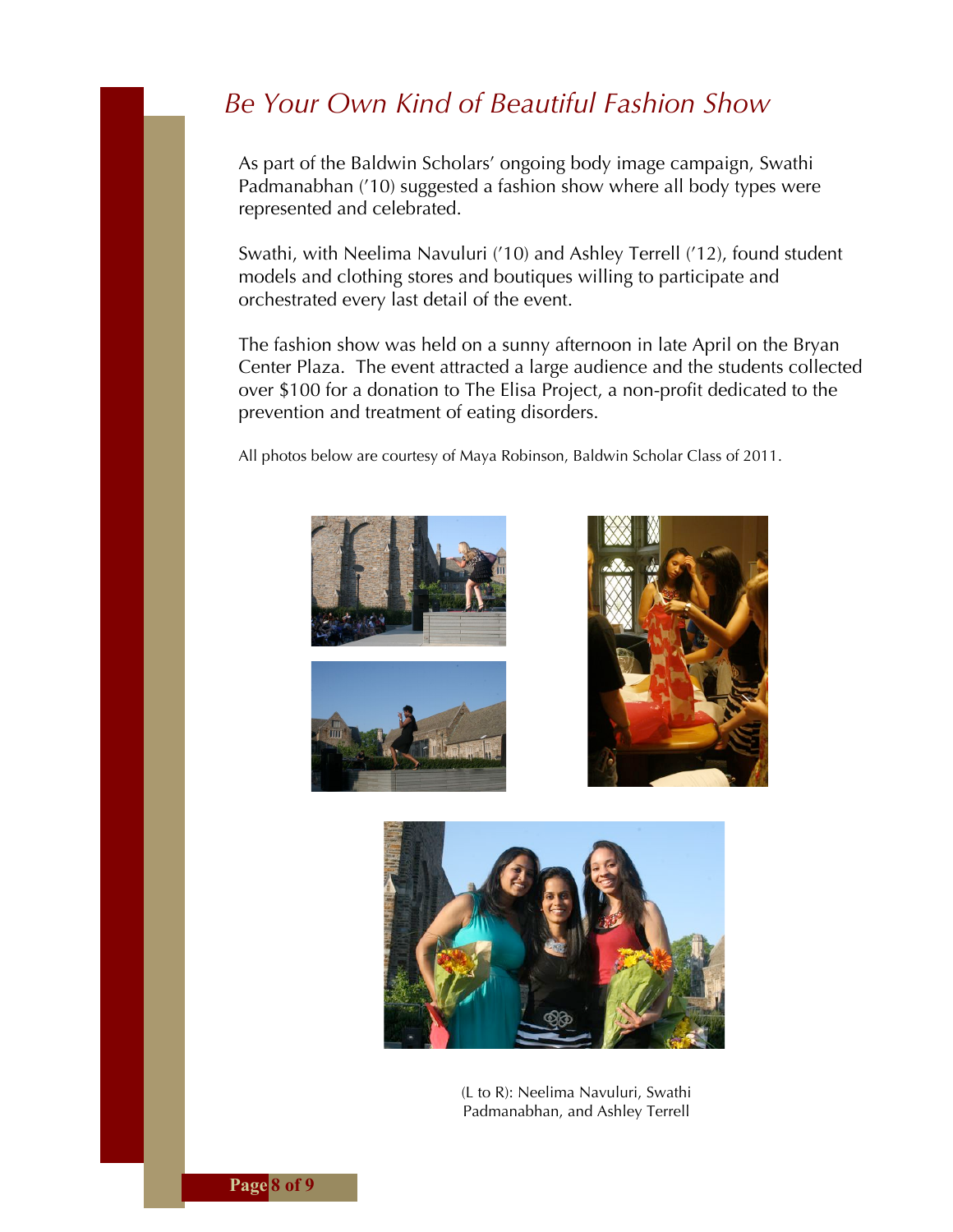### *Be Your Own Kind of Beautiful Fashion Show*

As part of the Baldwin Scholars' ongoing body image campaign, Swathi Padmanabhan ('10) suggested a fashion show where all body types were represented and celebrated.

Swathi, with Neelima Navuluri ('10) and Ashley Terrell ('12), found student models and clothing stores and boutiques willing to participate and orchestrated every last detail of the event.

The fashion show was held on a sunny afternoon in late April on the Bryan Center Plaza. The event attracted a large audience and the students collected over \$100 for a donation to The Elisa Project, a non-profit dedicated to the prevention and treatment of eating disorders.

All photos below are courtesy of Maya Robinson, Baldwin Scholar Class of 2011.









(L to R): Neelima Navuluri, Swathi Padmanabhan, and Ashley Terrell